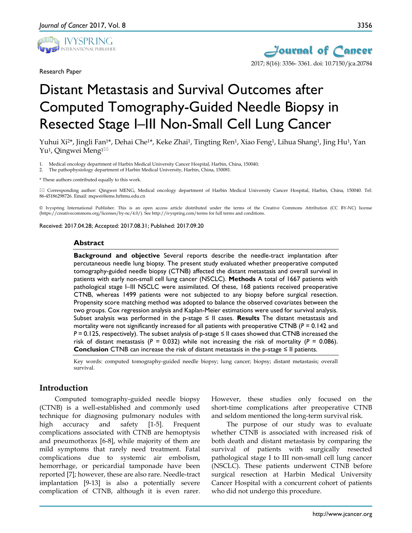

Research Paper



# Distant Metastasis and Survival Outcomes after Computed Tomography-Guided Needle Biopsy in Resected Stage I–III Non-Small Cell Lung Cancer

Yuhui Xi<sup>2\*</sup>, Jingli Fan<sup>1\*</sup>, Dehai Che<sup>1\*</sup>, Keke Zhai<sup>1</sup>, Tingting Ren<sup>1</sup>, Xiao Feng<sup>1</sup>, Lihua Shang<sup>1</sup>, Jing Hu<sup>1</sup>, Yan Yu<sup>1</sup>, Qingwei Meng<sup>1 $\boxtimes$ </sup>

1. Medical oncology department of Harbin Medical University Cancer Hospital, Harbin, China, 150040;

2. The pathophysiology department of Harbin Medical University, Harbin, China, 150081.

\* These authors contributed equally to this work.

 Corresponding author: Qingwei MENG, Medical oncology department of Harbin Medical University Cancer Hospital, Harbin, China, 150040. Tel: 86-45186298726. Email: mqwei@ems.hrbmu.edu.cn

© Ivyspring International Publisher. This is an open access article distributed under the terms of the Creative Commons Attribution (CC BY-NC) license (https://creativecommons.org/licenses/by-nc/4.0/). See http://ivyspring.com/terms for full terms and conditions.

Received: 2017.04.28; Accepted: 2017.08.31; Published: 2017.09.20

#### **Abstract**

**Background and objective** Several reports describe the needle-tract implantation after percutaneous needle lung biopsy. The present study evaluated whether preoperative computed tomography-guided needle biopsy (CTNB) affected the distant metastasis and overall survival in patients with early non-small cell lung cancer (NSCLC). **Methods** A total of 1667 patients with pathological stage I–III NSCLC were assimilated. Of these, 168 patients received preoperative CTNB, whereas 1499 patients were not subjected to any biopsy before surgical resection. Propensity score matching method was adopted to balance the observed covariates between the two groups. Cox regression analysis and Kaplan-Meier estimations were used for survival analysis. Subset analysis was performed in the p-stage ≤ II cases. **Results** The distant metastasis and mortality were not significantly increased for all patients with preoperative CTNB ( $P = 0.142$  and *P* = 0.125, respectively). The subset analysis of p-stage ≤ II cases showed that CTNB increased the risk of distant metastasis (*P =* 0.032) while not increasing the risk of mortality (*P =* 0.086). **Conclusion** CTNB can increase the risk of distant metastasis in the p-stage ≤ II patients.

Key words: computed tomography-guided needle biopsy; lung cancer; biopsy; distant metastasis; overall survival.

# **Introduction**

Computed tomography-guided needle biopsy (CTNB) is a well-established and commonly used technique for diagnosing pulmonary nodules with high accuracy and safety [1-5]. Frequent complications associated with CTNB are hemoptysis and pneumothorax [6-8], while majority of them are mild symptoms that rarely need treatment. Fatal complications due to systemic air embolism, hemorrhage, or pericardial tamponade have been reported [7]; however, these are also rare. Needle-tract implantation [9-13] is also a potentially severe complication of CTNB, although it is even rarer.

However, these studies only focused on the short-time complications after preoperative CTNB and seldom mentioned the long-term survival risk.

The purpose of our study was to evaluate whether CTNB is associated with increased risk of both death and distant metastasis by comparing the survival of patients with surgically resected pathological stage I to III non-small cell lung cancer (NSCLC). These patients underwent CTNB before surgical resection at Harbin Medical University Cancer Hospital with a concurrent cohort of patients who did not undergo this procedure.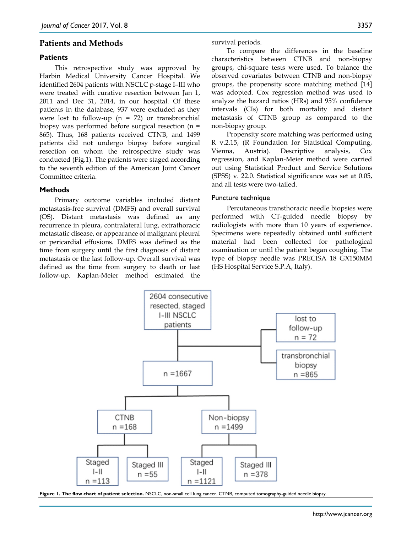## **Patients and Methods**

### **Patients**

This retrospective study was approved by Harbin Medical University Cancer Hospital. We identified 2604 patients with NSCLC p-stage I–III who were treated with curative resection between Jan 1, 2011 and Dec 31, 2014, in our hospital. Of these patients in the database, 937 were excluded as they were lost to follow-up  $(n = 72)$  or transbronchial biopsy was performed before surgical resection (n = 865). Thus, 168 patients received CTNB, and 1499 patients did not undergo biopsy before surgical resection on whom the retrospective study was conducted (Fig.1). The patients were staged according to the seventh edition of the American Joint Cancer Committee criteria.

### **Methods**

Primary outcome variables included distant metastasis-free survival (DMFS) and overall survival (OS). Distant metastasis was defined as any recurrence in pleura, contralateral lung, extrathoracic metastatic disease, or appearance of malignant pleural or pericardial effusions. DMFS was defined as the time from surgery until the first diagnosis of distant metastasis or the last follow-up. Overall survival was defined as the time from surgery to death or last follow-up. Kaplan-Meier method estimated the

survival periods.

To compare the differences in the baseline characteristics between CTNB and non-biopsy groups, chi-square tests were used. To balance the observed covariates between CTNB and non-biopsy groups, the propensity score matching method [14] was adopted. Cox regression method was used to analyze the hazard ratios (HRs) and 95% confidence intervals (CIs) for both mortality and distant metastasis of CTNB group as compared to the non-biopsy group.

Propensity score matching was performed using R v.2.15, (R Foundation for Statistical Computing, Vienna, Austria). Descriptive analysis, Cox regression, and Kaplan-Meier method were carried out using Statistical Product and Service Solutions (SPSS) v. 22.0. Statistical significance was set at 0.05, and all tests were two-tailed.

#### Puncture technique

Percutaneous transthoracic needle biopsies were performed with CT-guided needle biopsy by radiologists with more than 10 years of experience. Specimens were repeatedly obtained until sufficient material had been collected for pathological examination or until the patient began coughing. The type of biopsy needle was PRECISA 18 GX150MM (HS Hospital Service S.P.A, Italy).



**Figure 1. The flow chart of patient selection.** NSCLC, non-small cell lung cancer. CTNB, computed tomography-guided needle biopsy.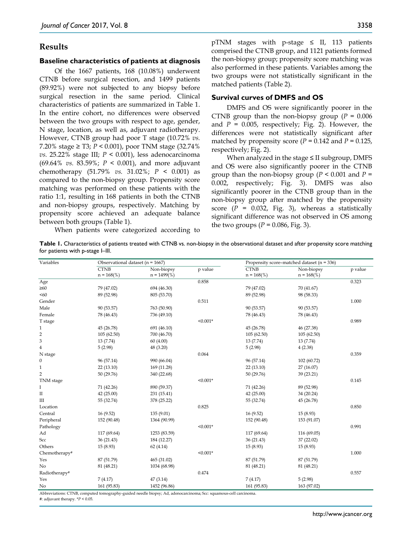## **Results**

#### **Baseline characteristics of patients at diagnosis**

Of the 1667 patients, 168 (10.08%) underwent CTNB before surgical resection, and 1499 patients (89.92%) were not subjected to any biopsy before surgical resection in the same period. Clinical characteristics of patients are summarized in Table 1. In the entire cohort, no differences were observed between the two groups with respect to age, gender, N stage, location, as well as, adjuvant radiotherapy. However, CTNB group had poor T stage (10.72% *vs.*  7.20% stage ≥ T3; *P <* 0.001), poor TNM stage (32.74% *vs.* 25.22% stage III; *P <* 0.001), less adenocarcinoma (69.64% *vs.* 83.59%; *P <* 0.001), and more adjuvant chemotherapy (51.79% *vs.* 31.02%; *P* < 0.001) as compared to the non-biopsy group. Propensity score matching was performed on these patients with the ratio 1:1, resulting in 168 patients in both the CTNB and non-biopsy groups, respectively. Matching by propensity score achieved an adequate balance between both groups (Table 1).

When patients were categorized according to

 $pTNM$  stages with p-stage  $\leq$  II, 113 patients comprised the CTNB group, and 1121 patients formed the non-biopsy group; propensity score matching was also performed in these patients. Variables among the two groups were not statistically significant in the matched patients (Table 2).

## **Survival curves of DMFS and OS**

DMFS and OS were significantly poorer in the CTNB group than the non-biopsy group (*P =* 0.006 and  $P = 0.005$ , respectively; Fig. 2). However, the differences were not statistically significant after matched by propensity score  $(P = 0.142$  and  $P = 0.125$ , respectively; Fig. 2).

When analyzed in the stage  $\leq$  II subgroup, DMFS and OS were also significantly poorer in the CTNB group than the non-biopsy group ( $P < 0.001$  and  $P =$ 0.002, respectively; Fig. 3). DMFS was also significantly poorer in the CTNB group than in the non-biopsy group after matched by the propensity score (*P =* 0.032, Fig. 3), whereas a statistically significant difference was not observed in OS among the two groups  $(P = 0.086, Fig. 3)$ .

**Table 1.** Characteristics of patients treated with CTNB vs. non-biopsy in the observational dataset and after propensity score matching for patients with p-stage I–III.

| Variables        | Observational dataset ( $n = 1667$ ) |              |            | Propensity score-matched dataset ( $n = 336$ ) |             |         |  |
|------------------|--------------------------------------|--------------|------------|------------------------------------------------|-------------|---------|--|
|                  | <b>CTNB</b>                          | Non-biopsy   | p value    | CTNB                                           | Non-biopsy  | p value |  |
|                  | $n = 168\%$                          | $n = 1499\%$ |            | $n = 168\%$                                    | $n = 168\%$ |         |  |
| Age              |                                      |              | 0.858      |                                                |             | 0.323   |  |
| $\geq 60$        | 79 (47.02)                           | 694 (46.30)  |            | 79 (47.02)                                     | 70 (41.67)  |         |  |
| < 60             | 89 (52.98)                           | 805 (53.70)  |            | 89 (52.98)                                     | 98 (58.33)  |         |  |
| Gender           |                                      |              | 0.511      |                                                |             | 1.000   |  |
| Male             | 90 (53.57)                           | 763 (50.90)  |            | 90 (53.57)                                     | 90 (53.57)  |         |  |
| Female           | 78 (46.43)                           | 736 (49.10)  |            | 78 (46.43)                                     | 78 (46.43)  |         |  |
| T stage          |                                      |              | $< 0.001*$ |                                                |             | 0.989   |  |
| $\mathbf{1}$     | 45 (26.78)                           | 691 (46.10)  |            | 45 (26.78)                                     | 46 (27.38)  |         |  |
| $\overline{2}$   | 105(62.50)                           | 700 (46.70)  |            | 105(62.50)                                     | 105(62.50)  |         |  |
| 3                | 13 (7.74)                            | 60(4.00)     |            | 13(7.74)                                       | 13(7.74)    |         |  |
| $\overline{4}$   | 5(2.98)                              | 48 (3.20)    |            | 5(2.98)                                        | 4(2.38)     |         |  |
| N stage          |                                      |              | 0.064      |                                                |             | 0.359   |  |
| $\boldsymbol{0}$ | 96 (57.14)                           | 990 (66.04)  |            | 96 (57.14)                                     | 102 (60.72) |         |  |
| $\mathbf{1}$     | 22 (13.10)                           | 169 (11.28)  |            | 22(13.10)                                      | 27 (16.07)  |         |  |
| $\overline{2}$   | 50 (29.76)                           | 340 (22.68)  |            | 50 (29.76)                                     | 39 (23.21)  |         |  |
| TNM stage        |                                      |              | $< 0.001*$ |                                                |             | 0.145   |  |
| Ι                | 71 (42.26)                           | 890 (59.37)  |            | 71 (42.26)                                     | 89 (52.98)  |         |  |
| $\rm II$         | 42 (25.00)                           | 231 (15.41)  |            | 42 (25.00)                                     | 34 (20.24)  |         |  |
| III              | 55 (32.74)                           | 378 (25.22)  |            | 55 (32.74)                                     | 45 (26.78)  |         |  |
| Location         |                                      |              | 0.825      |                                                |             | 0.850   |  |
| Central          | 16(9.52)                             | 135 (9.01)   |            | 16(9.52)                                       | 15(8.93)    |         |  |
| Peripheral       | 152 (90.48)                          | 1364 (90.99) |            | 152 (90.48)                                    | 153 (91.07) |         |  |
| Pathology        |                                      |              | $< 0.001*$ |                                                |             | 0.991   |  |
| Ad               | 117 (69.64)                          | 1253 (83.59) |            | 117 (69.64)                                    | 116 (69.05) |         |  |
| Scc              | 36 (21.43)                           | 184 (12.27)  |            | 36 (21.43)                                     | 37 (22.02)  |         |  |
| Others           | 15(8.93)                             | 62(4.14)     |            | 15(8.93)                                       | 15 (8.93)   |         |  |
| Chemotherapy#    |                                      |              | $< 0.001*$ |                                                |             | 1.000   |  |
| Yes              | 87 (51.79)                           | 465 (31.02)  |            | 87 (51.79)                                     | 87 (51.79)  |         |  |
| No               | 81 (48.21)                           | 1034 (68.98) |            | 81 (48.21)                                     | 81 (48.21)  |         |  |
| Radiotherapy#    |                                      |              | 0.474      |                                                |             | 0.557   |  |
| Yes              | 7(4.17)                              | 47 (3.14)    |            | 7(4.17)                                        | 5(2.98)     |         |  |
| N <sub>o</sub>   | 161 (95.83)                          | 1452 (96.86) |            | 161 (95.83)                                    | 163 (97.02) |         |  |

#: adjuvant therapy. \**P <* 0.05.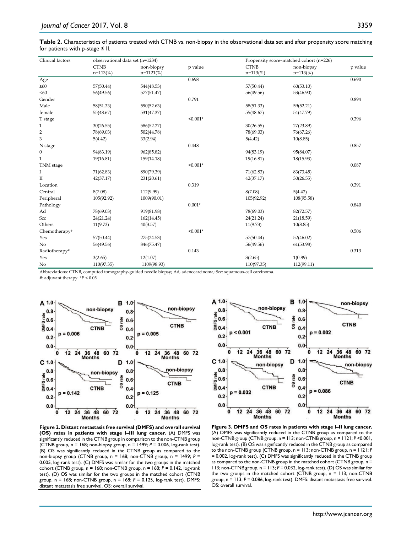**Table 2.** Characteristics of patients treated with CTNB vs. non-biopsy in the observational data set and after propensity score matching for patients with p-stage  $\leq$  II.

| Clinical factors | observational data set (n=1234) |              |            |             | Propensity score-matched cohort (n=226) |         |  |  |
|------------------|---------------------------------|--------------|------------|-------------|-----------------------------------------|---------|--|--|
|                  | <b>CTNB</b>                     | non-biopsy   | p value    | <b>CTNB</b> | non-biopsy                              | p value |  |  |
|                  | $n=113\%$                       | $n=1121(\%)$ |            | $n=113(\%)$ | $n=113(\%)$                             |         |  |  |
| Age              |                                 |              | 0.698      |             |                                         | 0.690   |  |  |
| $\geq 60$        | 57(50.44)                       | 544(48.53)   |            | 57(50.44)   | 60(53.10)                               |         |  |  |
| < 60             | 56(49.56)                       | 577(51.47)   |            | 56(49.56)   | 53(46.90)                               |         |  |  |
| Gender           |                                 |              | 0.791      |             |                                         | 0.894   |  |  |
| Male             | 58(51.33)                       | 590(52.63)   |            | 58(51.33)   | 59(52.21)                               |         |  |  |
| female           | 55(48.67)                       | 531(47.37)   |            | 55(48.67)   | 54(47.79)                               |         |  |  |
| T stage          |                                 |              | $< 0.001*$ |             |                                         | 0.396   |  |  |
| $\mathbf{1}$     | 30(26.55)                       | 586(52.27)   |            | 30(26.55)   | 27(23.89)                               |         |  |  |
| $\overline{2}$   | 78(69.03)                       | 502(44.78)   |            | 78(69.03)   | 76(67.26)                               |         |  |  |
| 3                | 5(4.42)                         | 33(2.94)     |            | 5(4.42)     | 10(8.85)                                |         |  |  |
| N stage          |                                 |              | 0.448      |             |                                         | 0.857   |  |  |
| $\boldsymbol{0}$ | 94(83.19)                       | 962(85.82)   |            | 94(83.19)   | 95(84.07)                               |         |  |  |
| $\mathbf{1}$     | 19(16.81)                       | 159(14.18)   |            | 19(16.81)   | 18(15.93)                               |         |  |  |
| TNM stage        |                                 |              | $< 0.001*$ |             |                                         | 0.087   |  |  |
| Ι                | 71(62.83)                       | 890(79.39)   |            | 71(62.83)   | 83(73.45)                               |         |  |  |
| $\mathbf{I}$     | 42(37.17)                       | 231(20.61)   |            | 42(37.17)   | 30(26.55)                               |         |  |  |
| Location         |                                 |              | 0.319      |             |                                         | 0.391   |  |  |
| Central          | 8(7.08)                         | 112(9.99)    |            | 8(7.08)     | 5(4.42)                                 |         |  |  |
| Peripheral       | 105(92.92)                      | 1009(90.01)  |            | 105(92.92)  | 108(95.58)                              |         |  |  |
| Pathology        |                                 |              | $0.001*$   |             |                                         | 0.840   |  |  |
| Ad               | 78(69.03)                       | 919(81.98)   |            | 78(69.03)   | 82(72.57)                               |         |  |  |
| Scc              | 24(21.24)                       | 162(14.45)   |            | 24(21.24)   | 21(18.59)                               |         |  |  |
| Others           | 11(9.73)                        | 40(3.57)     |            | 11(9.73)    | 10(8.85)                                |         |  |  |
| Chemotherapy#    |                                 |              | $< 0.001*$ |             |                                         | 0.506   |  |  |
| Yes              | 57(50.44)                       | 275(24.53)   |            | 57(50.44)   | 52(46.02)                               |         |  |  |
| No               | 56(49.56)                       | 846(75.47)   |            | 56(49.56)   | 61(53.98)                               |         |  |  |
| Radiotherapy#    |                                 |              | 0.143      |             |                                         | 0.313   |  |  |
| Yes              | 3(2.65)                         | 12(1.07)     |            | 3(2.65)     | 1(0.89)                                 |         |  |  |
| No               | 110(97.35)                      | 1109(98.93)  |            | 110(97.35)  | 112(99.11)                              |         |  |  |

Abbreviations: CTNB, computed tomography-guided needle biopsy; Ad, adenocarcinoma; Scc: squamous-cell carcinoma.

#: adjuvant therapy. \**P <* 0.05.



**Figure 2. Distant metastasis free survival (DMFS) and overall survival (OS) rates in patients with stage I–III lung cancer.** (A) DMFS was significantly reduced in the CTNB group in comparison to the non-CTNB group (CTNB group, n = 168; non-biopsy group, n = 1499; *P =* 0.006, log-rank test). (B) OS was significantly reduced in the CTNB group as compared to the non-biopsy group (CTNB group, n = 168; non-CTNB group, n = 1499; *P =* 0.005, log-rank test). (C) DMFS was similar for the two groups in the matched cohort (CTNB group, n = 168; non-CTNB group, n = 168; *P =* 0.142, log-rank test). (D) OS was similar for the two groups in the matched cohort (CTNB group, n = 168; non-CTNB group, n = 168; *P =* 0.125, log-rank test). DMFS: distant metastasis free survival. OS: overall survival.



**Figure 3. DMFS and OS rates in patients with stage I–II lung cancer.**  (A) DMFS was significantly reduced in the CTNB group as compared to the non-CTNB group (CTNB group, n = 113; non-CTNB group, n = 1121; *P <*0.001, log-rank test). (B) OS was significantly reduced in the CTNB group as compared to the non-CTNB group (CTNB group, n = 113; non-CTNB group, n = 1121; *P =* 0.002, log-rank test). (C) DMFS was significantly reduced in the CTNB group as compared to the non-CTNB group in the matched cohort (CTNB group, n = 113; non-CTNB group, n = 113; *P =* 0.032, log-rank test). (D) OS was similar for the two groups in the matched cohort (CTNB group, n = 113; non-CTNB group, n = 113; *P =* 0.086, log-rank test). DMFS: distant metastasis free survival. OS: overall survival.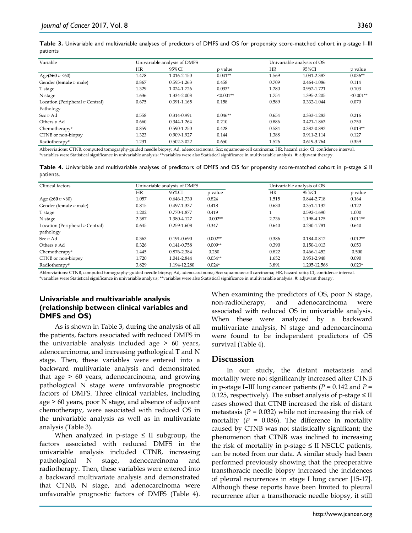**Table 3.** Univariable and multivariable analyses of predictors of DMFS and OS for propensity score-matched cohort in p-stage I–III patients

| Variable                        |           | Univariable analysis of DMFS |             | Univariable analysis of OS |             |             |  |
|---------------------------------|-----------|------------------------------|-------------|----------------------------|-------------|-------------|--|
|                                 | <b>HR</b> | 95%CI                        |             | HR                         | 95%CI       | p value     |  |
| Age( $\geq 60$ v <60)           | 1.478     | 1.016-2.150                  | $0.041**$   | 1.569                      | 1.031-2.387 | $0.036**$   |  |
| Gender (female $v$ male)        | 0.867     | 0.595-1.263                  | 0.458       | 0.709                      | 0.464-1.086 | 0.114       |  |
| T stage                         | 1.329     | 1.024-1.726                  | $0.033*$    | 1.280                      | 0.952-1.721 | 0.103       |  |
| N stage                         | 1.636     | 1.334-2.008                  | $< 0.001**$ | 1.754                      | 1.395-2.205 | $< 0.001**$ |  |
| Location (Peripheral v Central) | 0.675     | 0.391-1.165                  | 0.158       | 0.589                      | 0.332-1.044 | 0.070       |  |
| Pathology                       |           |                              |             |                            |             |             |  |
| Scc $v$ Ad                      | 0.558     | 0.314-0.991                  | $0.046**$   | 0.654                      | 0.333-1.283 | 0.216       |  |
| Others $v$ Ad                   | 0.660     | 0.344-1.264                  | 0.210       | 0.886                      | 0.421-1.863 | 0.750       |  |
| Chemotherapy#                   | 0.859     | $0.590 - 1.250$              | 0.428       | 0.584                      | 0.382-0.892 | $0.013**$   |  |
| CTNB or non-biopsy              | 1.323     | 0.909-1.927                  | 0.144       | 1.388                      | 0.911-2.114 | 0.127       |  |
| Radiotherapy#                   | 1.231     | 0.502-3.022                  | 0.650       | 1.526                      | 0.619-3.764 | 0.359       |  |

Abbreviations: CTNB, computed tomography-guided needle biopsy; Ad, adenocarcinoma; Scc: squamous-cell carcinoma; HR, hazard ratio; CI, confidence interval. \*variables were Statistical significance in univariable analysis; \*\*variables were also Statistical significance in multivariable analysis. #: adjuvant therapy.

|           | Table 4. Univariable and multivariable analyses of predictors of DMFS and OS for propensity score-matched cohort in p-stage $\leq$ II |  |  |  |  |  |
|-----------|---------------------------------------------------------------------------------------------------------------------------------------|--|--|--|--|--|
| patients. |                                                                                                                                       |  |  |  |  |  |

| Clinical factors                |             | Univariable analysis of DMFS |           |           | Univariable analysis of OS |           |  |  |
|---------------------------------|-------------|------------------------------|-----------|-----------|----------------------------|-----------|--|--|
|                                 | HR<br>95%CI |                              | p value   | <b>HR</b> | 95%CI                      | p value   |  |  |
| Age ( $\geq 60$ v < 60)         | 1.057       | 0.646-1.730                  | 0.824     | 1.515     | 0.844-2.718                | 0.164     |  |  |
| Gender (female $v$ male)        | 0.815       | 0.497-1.337                  | 0.418     | 0.630     | 0.351-1.132                | 0.122     |  |  |
| T stage                         | 1.202       | 0.770-1.877                  | 0.419     |           | 0.592-1.690                | 1.000     |  |  |
| N stage                         | 2.387       | 1.380-4.127                  | $0.002**$ | 2.236     | 1.198-4.175                | $0.011**$ |  |  |
| Location (Peripheral v Central) | 0.645       | 0.259-1.608                  | 0.347     | 0.640     | 0.230-1.781                | 0.640     |  |  |
| pathology                       |             |                              |           |           |                            |           |  |  |
| Scc $v$ Ad                      | 0.363       | 0.191-0.690                  | $0.002**$ | 0.386     | 0.184-0.812                | $0.012**$ |  |  |
| Others $v$ Ad                   | 0.326       | 0.141-0.758                  | $0.009**$ | 0.390     | 0.150-1.013                | 0.053     |  |  |
| Chemotherapy#                   | 1.445       | 0.876-2.384                  | 0.250     | 0.822     | 0.466-1.452                | 0.500     |  |  |
| CTNB or non-biopsy              | 1.720       | 1.041-2.844                  | $0.034**$ | 1.652     | 0.951-2.948                | 0.090     |  |  |
| Radiotherapy#                   | 3.829       | 1.194-12.280                 | $0.024*$  | 3.891     | 1.205-12.568               | $0.023*$  |  |  |

Abbreviations: CTNB, computed tomography-guided needle biopsy; Ad, adenocarcinoma; Scc: squamous-cell carcinoma; HR, hazard ratio; CI, confidence interval. \*variables were Statistical significance in univariable analysis; \*\*variables were also Statistical significance in multivariable analysis. #: adjuvant therapy.

## **Univariable and multivariable analysis (relationship between clinical variables and DMFS and OS)**

As is shown in Table 3, during the analysis of all the patients, factors associated with reduced DMFS in the univariable analysis included age > 60 years, adenocarcinoma, and increasing pathological T and N stage. Then, these variables were entered into a backward multivariate analysis and demonstrated that age > 60 years, adenocarcinoma, and growing pathological N stage were unfavorable prognostic factors of DMFS. Three clinical variables, including age > 60 years, poor N stage, and absence of adjuvant chemotherapy, were associated with reduced OS in the univariable analysis as well as in multivariate analysis (Table 3).

When analyzed in p-stage  $\leq$  II subgroup, the factors associated with reduced DMFS in the univariable analysis included CTNB, increasing pathological N stage, adenocarcinoma and radiotherapy. Then, these variables were entered into a backward multivariate analysis and demonstrated that CTNB, N stage, and adenocarcinoma were unfavorable prognostic factors of DMFS (Table 4). When examining the predictors of OS, poor N stage, non-radiotherapy, and adenocarcinoma were associated with reduced OS in univariable analysis. When these were analyzed by a backward multivariate analysis, N stage and adenocarcinoma were found to be independent predictors of OS survival (Table 4).

# **Discussion**

In our study, the distant metastasis and mortality were not significantly increased after CTNB in p-stage I–III lung cancer patients (*P =* 0.142 and *P =* 0.125, respectively). The subset analysis of p-stage  $\leq$  II cases showed that CTNB increased the risk of distant metastasis (*P =* 0.032) while not increasing the risk of mortality  $(P = 0.086)$ . The difference in mortality caused by CTNB was not statistically significant; the phenomenon that CTNB was inclined to increasing the risk of mortality in p-stage ≤ II NSCLC patients, can be noted from our data. A similar study had been performed previously showing that the preoperative transthoracic needle biopsy increased the incidences of pleural recurrences in stage I lung cancer [15-17]. Although these reports have been limited to pleural recurrence after a transthoracic needle biopsy, it still